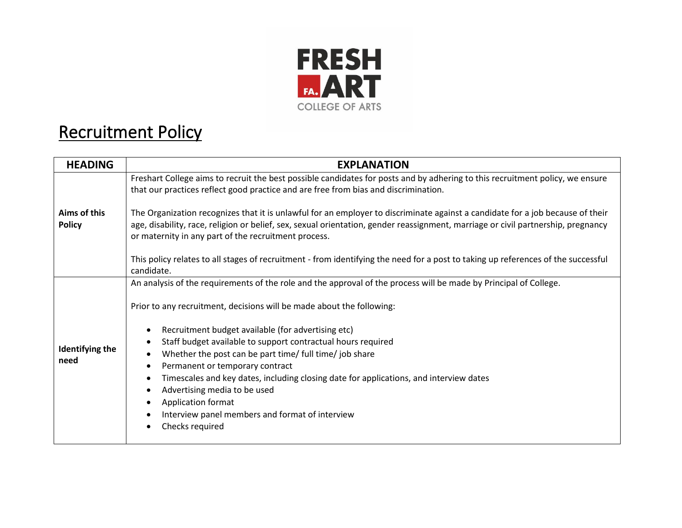

## Recruitment Policy

| <b>HEADING</b>                 | <b>EXPLANATION</b>                                                                                                                                                                                                                                                                                                                                                                                                                                                                                                                                                                                                                                                                                         |
|--------------------------------|------------------------------------------------------------------------------------------------------------------------------------------------------------------------------------------------------------------------------------------------------------------------------------------------------------------------------------------------------------------------------------------------------------------------------------------------------------------------------------------------------------------------------------------------------------------------------------------------------------------------------------------------------------------------------------------------------------|
| Aims of this<br><b>Policy</b>  | Freshart College aims to recruit the best possible candidates for posts and by adhering to this recruitment policy, we ensure<br>that our practices reflect good practice and are free from bias and discrimination.                                                                                                                                                                                                                                                                                                                                                                                                                                                                                       |
|                                | The Organization recognizes that it is unlawful for an employer to discriminate against a candidate for a job because of their<br>age, disability, race, religion or belief, sex, sexual orientation, gender reassignment, marriage or civil partnership, pregnancy<br>or maternity in any part of the recruitment process.                                                                                                                                                                                                                                                                                                                                                                                |
|                                | This policy relates to all stages of recruitment - from identifying the need for a post to taking up references of the successful<br>candidate.                                                                                                                                                                                                                                                                                                                                                                                                                                                                                                                                                            |
| <b>Identifying the</b><br>need | An analysis of the requirements of the role and the approval of the process will be made by Principal of College.<br>Prior to any recruitment, decisions will be made about the following:<br>Recruitment budget available (for advertising etc)<br>$\bullet$<br>Staff budget available to support contractual hours required<br>$\bullet$<br>Whether the post can be part time/ full time/ job share<br>$\bullet$<br>Permanent or temporary contract<br>٠<br>Timescales and key dates, including closing date for applications, and interview dates<br>$\bullet$<br>Advertising media to be used<br>$\bullet$<br>Application format<br>Interview panel members and format of interview<br>Checks required |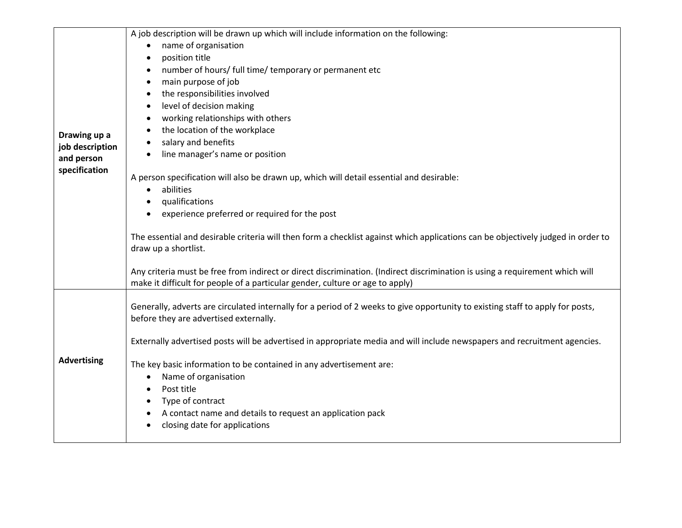|                                                                | A job description will be drawn up which will include information on the following:                                                                                                                           |
|----------------------------------------------------------------|---------------------------------------------------------------------------------------------------------------------------------------------------------------------------------------------------------------|
| Drawing up a<br>job description<br>and person<br>specification | name of organisation<br>$\bullet$                                                                                                                                                                             |
|                                                                | position title<br>$\bullet$                                                                                                                                                                                   |
|                                                                | number of hours/ full time/ temporary or permanent etc<br>$\bullet$                                                                                                                                           |
|                                                                | main purpose of job<br>$\bullet$                                                                                                                                                                              |
|                                                                | the responsibilities involved<br>$\bullet$                                                                                                                                                                    |
|                                                                | level of decision making<br>$\bullet$                                                                                                                                                                         |
|                                                                | working relationships with others<br>$\bullet$                                                                                                                                                                |
|                                                                | the location of the workplace<br>$\bullet$                                                                                                                                                                    |
|                                                                | salary and benefits<br>$\bullet$                                                                                                                                                                              |
|                                                                | line manager's name or position                                                                                                                                                                               |
|                                                                | A person specification will also be drawn up, which will detail essential and desirable:                                                                                                                      |
|                                                                | abilities<br>$\bullet$                                                                                                                                                                                        |
|                                                                | qualifications<br>$\bullet$                                                                                                                                                                                   |
|                                                                | experience preferred or required for the post<br>$\bullet$                                                                                                                                                    |
|                                                                | The essential and desirable criteria will then form a checklist against which applications can be objectively judged in order to<br>draw up a shortlist.                                                      |
|                                                                | Any criteria must be free from indirect or direct discrimination. (Indirect discrimination is using a requirement which will<br>make it difficult for people of a particular gender, culture or age to apply) |
| <b>Advertising</b>                                             | Generally, adverts are circulated internally for a period of 2 weeks to give opportunity to existing staff to apply for posts,                                                                                |
|                                                                | before they are advertised externally.                                                                                                                                                                        |
|                                                                | Externally advertised posts will be advertised in appropriate media and will include newspapers and recruitment agencies.                                                                                     |
|                                                                | The key basic information to be contained in any advertisement are:                                                                                                                                           |
|                                                                | Name of organisation<br>$\bullet$                                                                                                                                                                             |
|                                                                | Post title<br>$\bullet$                                                                                                                                                                                       |
|                                                                | Type of contract                                                                                                                                                                                              |
|                                                                | A contact name and details to request an application pack<br>$\bullet$                                                                                                                                        |
|                                                                | closing date for applications                                                                                                                                                                                 |
|                                                                |                                                                                                                                                                                                               |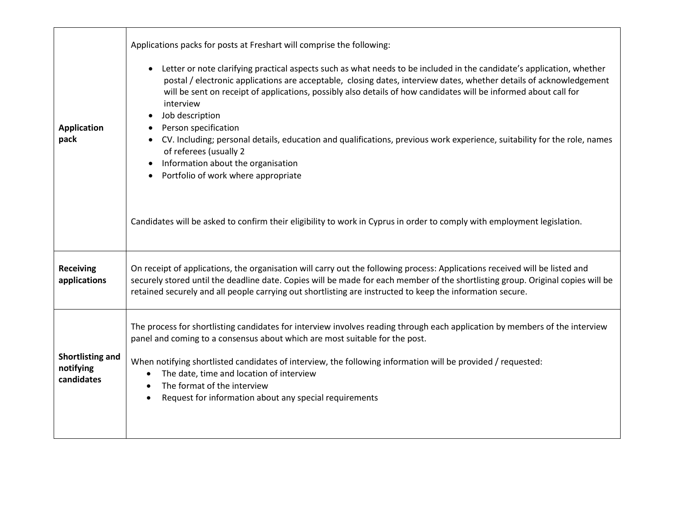| <b>Application</b><br>pack                         | Applications packs for posts at Freshart will comprise the following:<br>Letter or note clarifying practical aspects such as what needs to be included in the candidate's application, whether<br>$\bullet$<br>postal / electronic applications are acceptable, closing dates, interview dates, whether details of acknowledgement<br>will be sent on receipt of applications, possibly also details of how candidates will be informed about call for<br>interview<br>Job description<br>Person specification<br>CV. Including; personal details, education and qualifications, previous work experience, suitability for the role, names<br>of referees (usually 2<br>Information about the organisation<br>Portfolio of work where appropriate<br>$\bullet$ |
|----------------------------------------------------|----------------------------------------------------------------------------------------------------------------------------------------------------------------------------------------------------------------------------------------------------------------------------------------------------------------------------------------------------------------------------------------------------------------------------------------------------------------------------------------------------------------------------------------------------------------------------------------------------------------------------------------------------------------------------------------------------------------------------------------------------------------|
|                                                    | Candidates will be asked to confirm their eligibility to work in Cyprus in order to comply with employment legislation.                                                                                                                                                                                                                                                                                                                                                                                                                                                                                                                                                                                                                                        |
| <b>Receiving</b><br>applications                   | On receipt of applications, the organisation will carry out the following process: Applications received will be listed and<br>securely stored until the deadline date. Copies will be made for each member of the shortlisting group. Original copies will be<br>retained securely and all people carrying out shortlisting are instructed to keep the information secure.                                                                                                                                                                                                                                                                                                                                                                                    |
| <b>Shortlisting and</b><br>notifying<br>candidates | The process for shortlisting candidates for interview involves reading through each application by members of the interview<br>panel and coming to a consensus about which are most suitable for the post.<br>When notifying shortlisted candidates of interview, the following information will be provided / requested:<br>The date, time and location of interview<br>$\bullet$<br>The format of the interview<br>$\bullet$<br>Request for information about any special requirements                                                                                                                                                                                                                                                                       |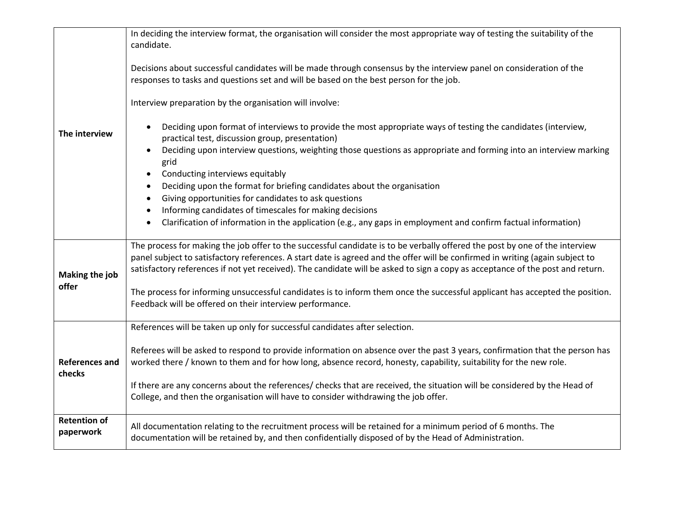| The interview                    | In deciding the interview format, the organisation will consider the most appropriate way of testing the suitability of the<br>candidate.                                                                                                                                                                                                                                                      |
|----------------------------------|------------------------------------------------------------------------------------------------------------------------------------------------------------------------------------------------------------------------------------------------------------------------------------------------------------------------------------------------------------------------------------------------|
|                                  |                                                                                                                                                                                                                                                                                                                                                                                                |
|                                  | Decisions about successful candidates will be made through consensus by the interview panel on consideration of the<br>responses to tasks and questions set and will be based on the best person for the job.                                                                                                                                                                                  |
|                                  | Interview preparation by the organisation will involve:                                                                                                                                                                                                                                                                                                                                        |
|                                  | Deciding upon format of interviews to provide the most appropriate ways of testing the candidates (interview,<br>$\bullet$<br>practical test, discussion group, presentation)                                                                                                                                                                                                                  |
|                                  | Deciding upon interview questions, weighting those questions as appropriate and forming into an interview marking<br>grid                                                                                                                                                                                                                                                                      |
|                                  | Conducting interviews equitably<br>$\bullet$<br>Deciding upon the format for briefing candidates about the organisation<br>$\bullet$                                                                                                                                                                                                                                                           |
|                                  | Giving opportunities for candidates to ask questions<br>$\bullet$                                                                                                                                                                                                                                                                                                                              |
|                                  | Informing candidates of timescales for making decisions<br>$\bullet$                                                                                                                                                                                                                                                                                                                           |
|                                  | Clarification of information in the application (e.g., any gaps in employment and confirm factual information)<br>$\bullet$                                                                                                                                                                                                                                                                    |
| Making the job<br>offer          | The process for making the job offer to the successful candidate is to be verbally offered the post by one of the interview<br>panel subject to satisfactory references. A start date is agreed and the offer will be confirmed in writing (again subject to<br>satisfactory references if not yet received). The candidate will be asked to sign a copy as acceptance of the post and return. |
|                                  | The process for informing unsuccessful candidates is to inform them once the successful applicant has accepted the position.<br>Feedback will be offered on their interview performance.                                                                                                                                                                                                       |
| <b>References and</b><br>checks  | References will be taken up only for successful candidates after selection.                                                                                                                                                                                                                                                                                                                    |
|                                  | Referees will be asked to respond to provide information on absence over the past 3 years, confirmation that the person has<br>worked there / known to them and for how long, absence record, honesty, capability, suitability for the new role.                                                                                                                                               |
|                                  | If there are any concerns about the references/ checks that are received, the situation will be considered by the Head of<br>College, and then the organisation will have to consider withdrawing the job offer.                                                                                                                                                                               |
| <b>Retention of</b><br>paperwork | All documentation relating to the recruitment process will be retained for a minimum period of 6 months. The<br>documentation will be retained by, and then confidentially disposed of by the Head of Administration.                                                                                                                                                                          |